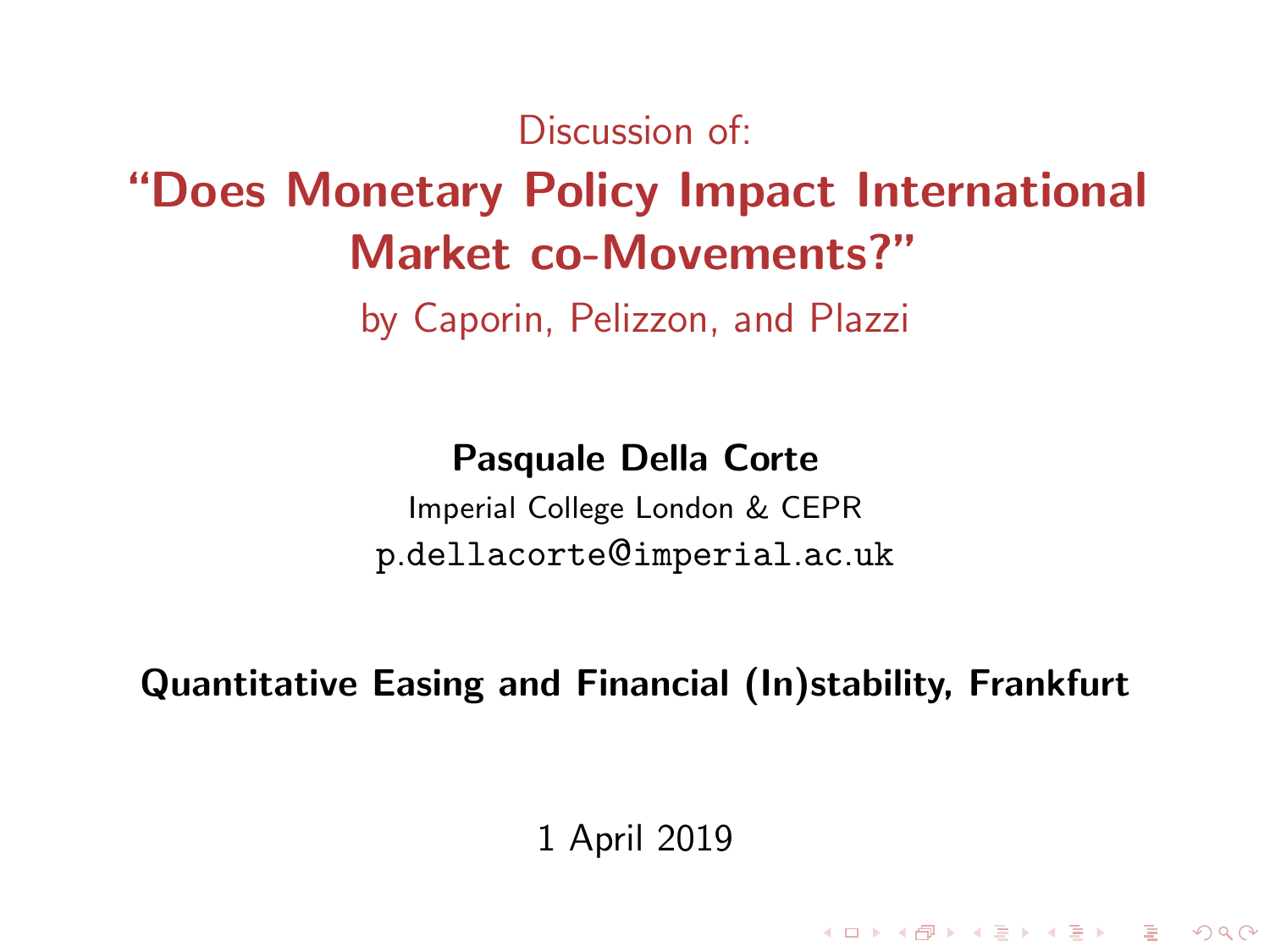Discussion of:

# "Does Monetary Policy Impact International Market co-Movements?"

by Caporin, Pelizzon, and Plazzi

Pasquale Della Corte

Imperial College London & CEPR p.dellacorte@imperial.ac.uk

Quantitative Easing and Financial (In)stability, Frankfurt

1 April 2019

**KORKA SERVER ORA**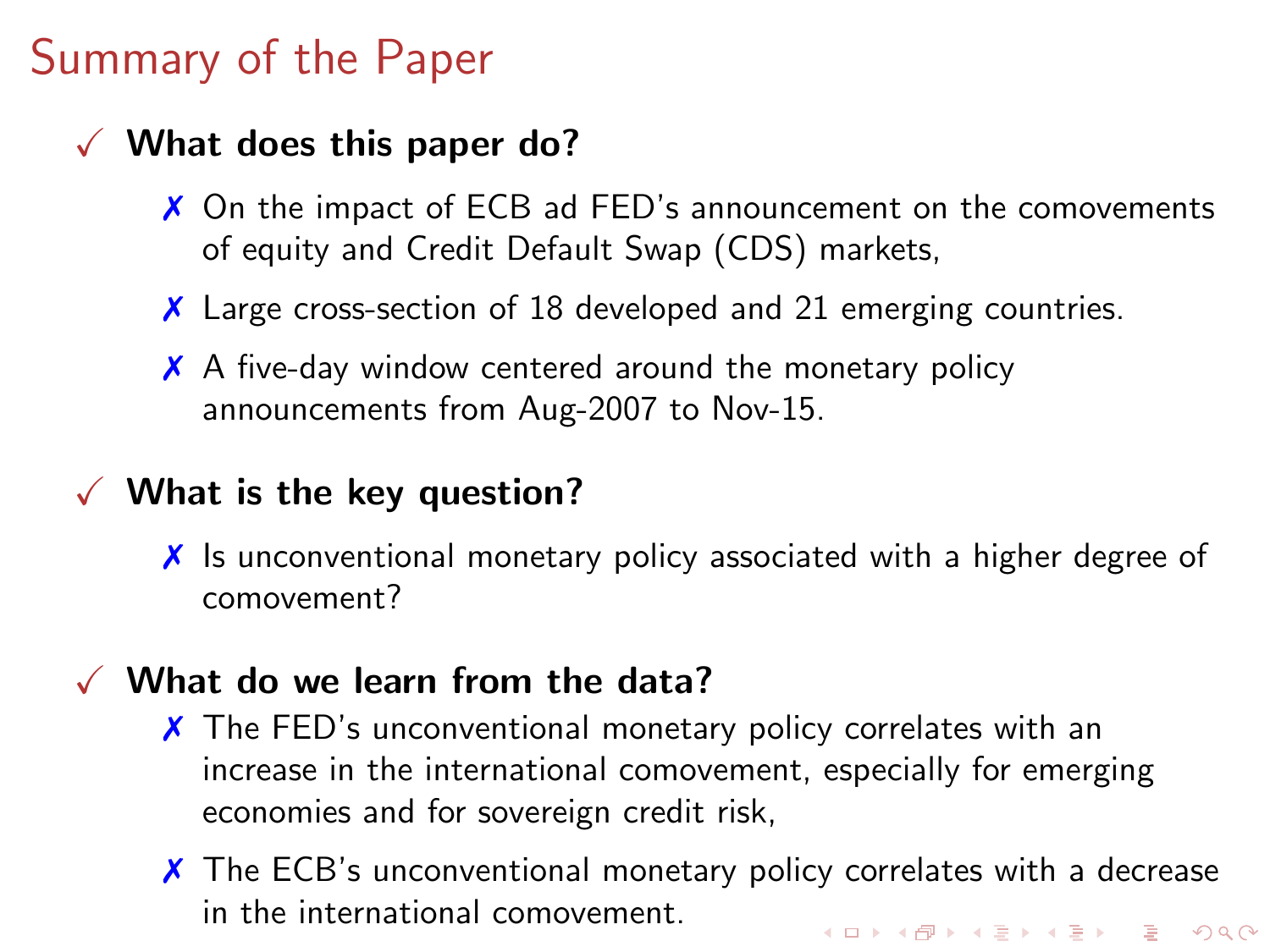# Summary of the Paper

### $\checkmark$  What does this paper do?

- ✗ On the impact of ECB ad FED's announcement on the comovements of equity and Credit Default Swap (CDS) markets,
- ✗ Large cross-section of 18 developed and 21 emerging countries.
- $\boldsymbol{\chi}$  A five-day window centered around the monetary policy announcements from Aug-2007 to Nov-15.

#### $\checkmark$  What is the key question?

✗ Is unconventional monetary policy associated with a higher degree of comovement?

#### $\checkmark$  What do we learn from the data?

- $\chi$  The FED's unconventional monetary policy correlates with an increase in the international comovement, especially for emerging economies and for sovereign credit risk,
- $\chi$  The ECB's unconventional monetary policy correlates with a decrease in the international comovement.**KORKAR KERKER DRA**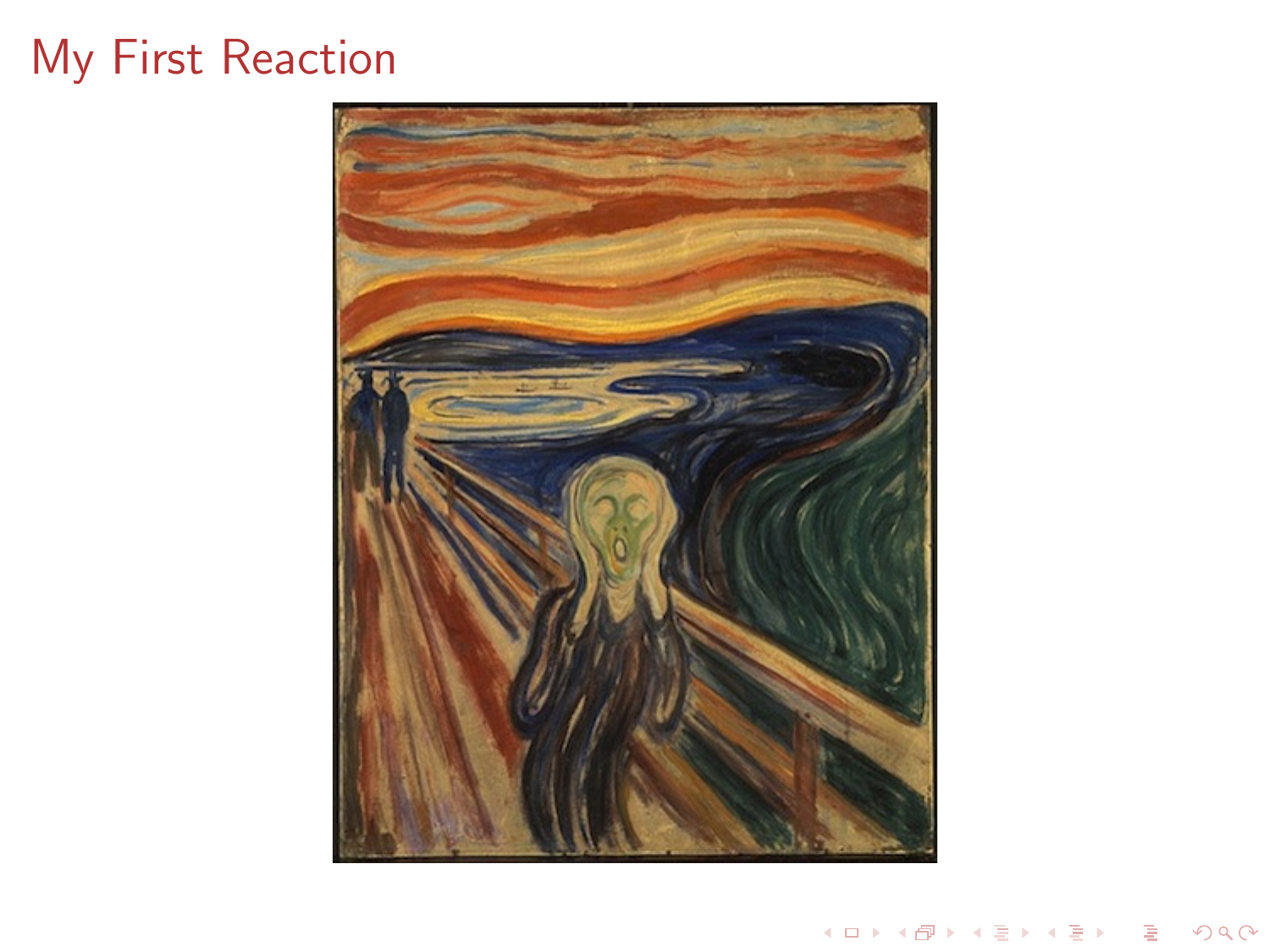# My First Reaction



イロト (御) (道) (道) (道) (道)  $299$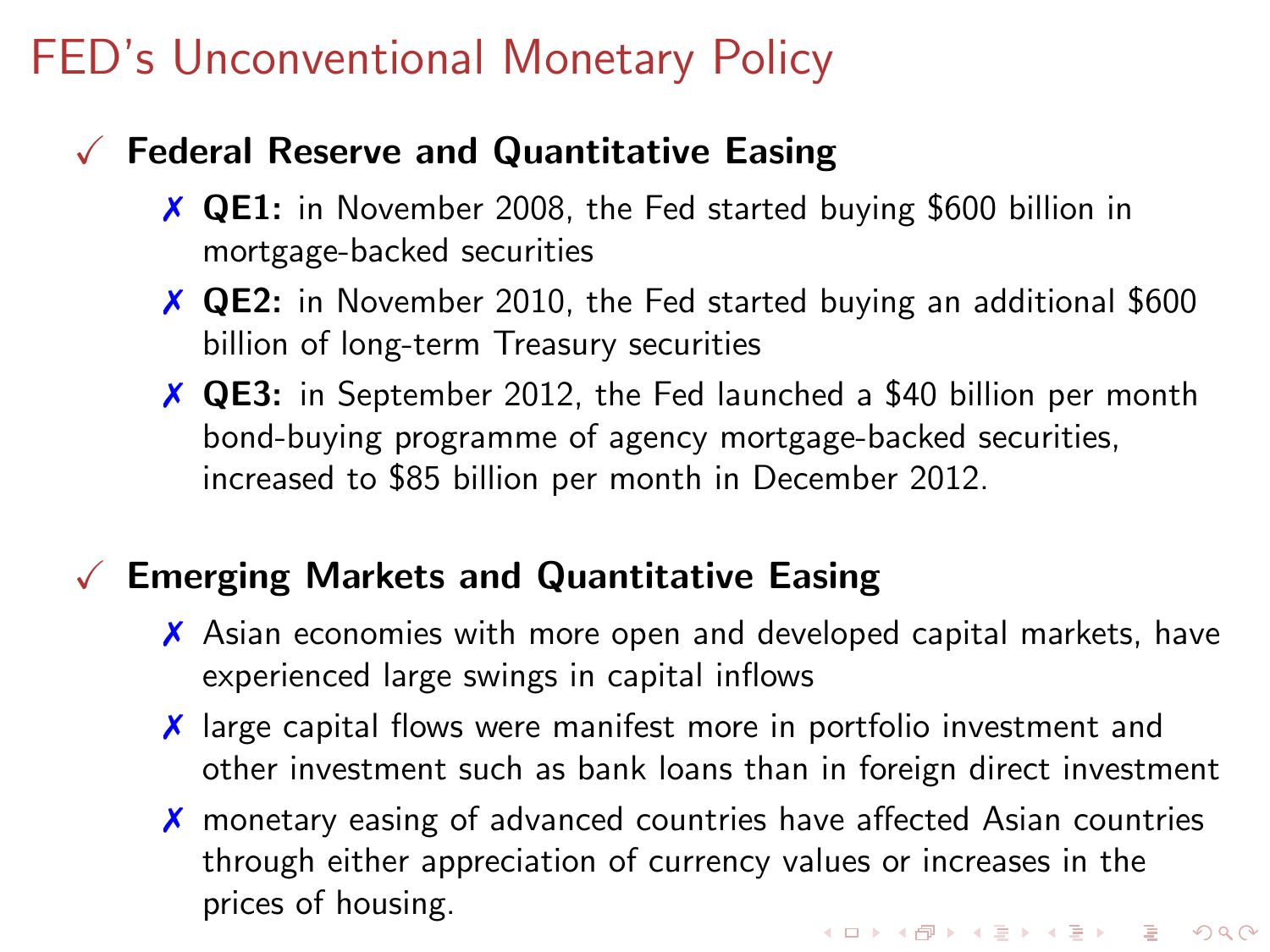# FED's Unconventional Monetary Policy

### $\sqrt{\ }$  Federal Reserve and Quantitative Easing

- ✗ QE1: in November 2008, the Fed started buying \$600 billion in mortgage-backed securities
- ✗ QE2: in November 2010, the Fed started buying an additional \$600 billion of long-term Treasury securities
- ✗ QE3: in September 2012, the Fed launched a \$40 billion per month bond-buying programme of agency mortgage-backed securities, increased to \$85 billion per month in December 2012.

### $\sqrt{\ }$  Emerging Markets and Quantitative Easing

- ✗ Asian economies with more open and developed capital markets, have experienced large swings in capital inflows
- ✗ large capital flows were manifest more in portfolio investment and other investment such as bank loans than in foreign direct investment
- ✗ monetary easing of advanced countries have affected Asian countries through either appreciation of currency values or increases in the prices of housing.**KORKAR KERKER SAGA**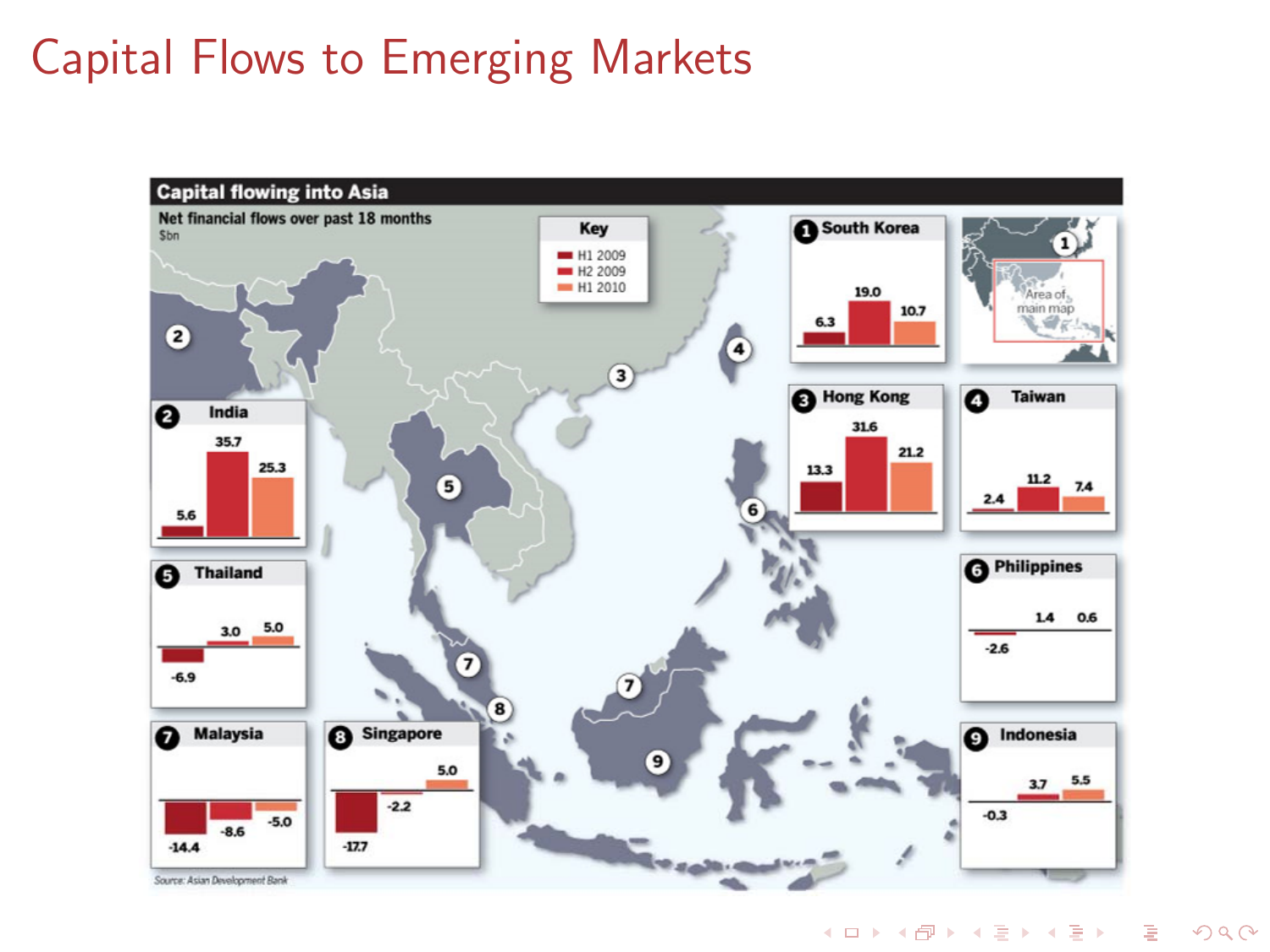# Capital Flows to Emerging Markets



イロトメ 御 トメ 差 トメ 差 トッ 差  $\Omega$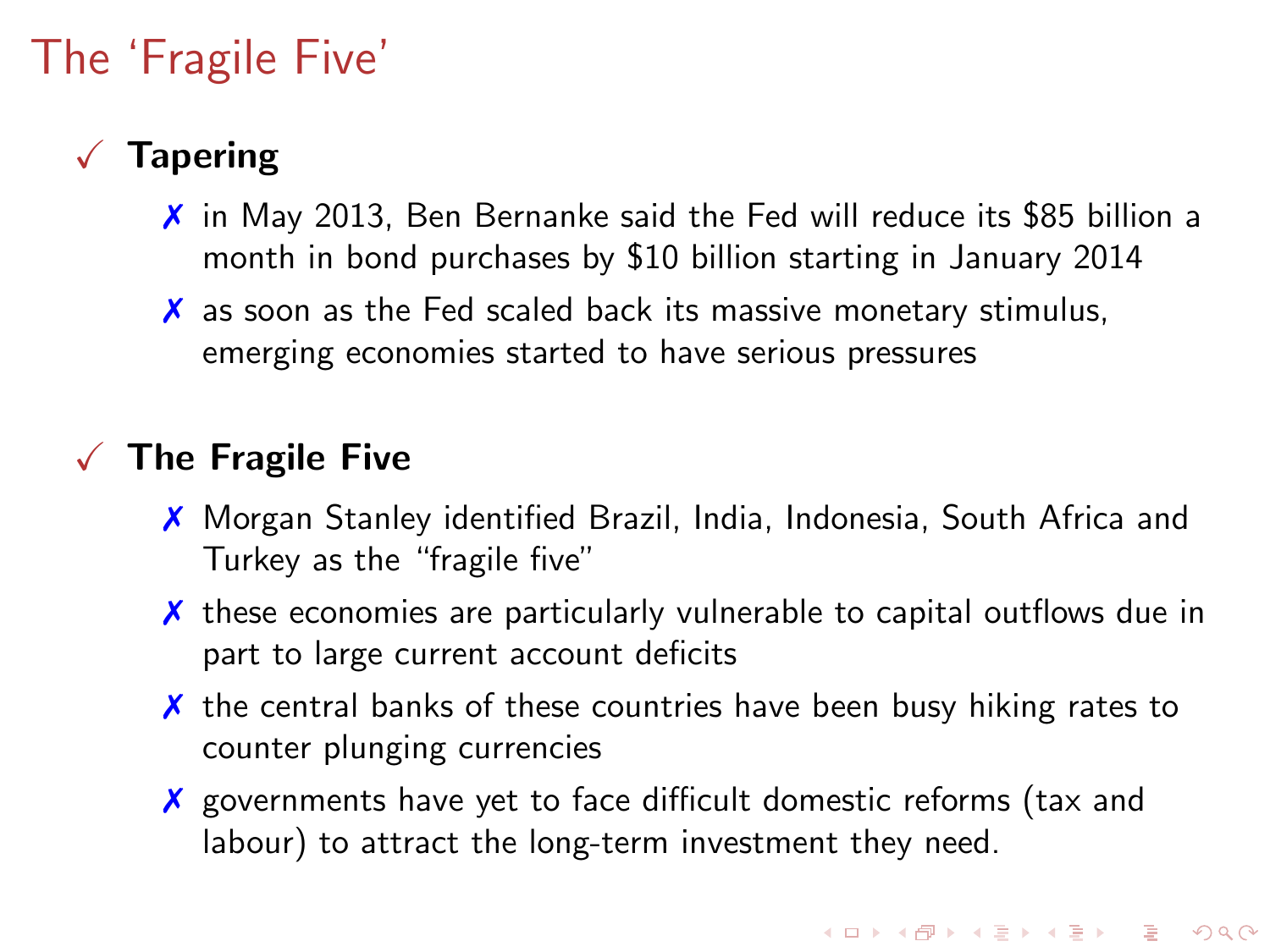# The 'Fragile Five'

### **Tapering**

- ✗ in May 2013, Ben Bernanke said the Fed will reduce its \$85 billion a month in bond purchases by \$10 billion starting in January 2014
- $\boldsymbol{\chi}$  as soon as the Fed scaled back its massive monetary stimulus, emerging economies started to have serious pressures

#### $\sqrt{\phantom{a}}$  The Fragile Five

- ✗ Morgan Stanley identified Brazil, India, Indonesia, South Africa and Turkey as the "fragile five"
- ✗ these economies are particularly vulnerable to capital outflows due in part to large current account deficits
- $\chi$  the central banks of these countries have been busy hiking rates to counter plunging currencies
- ✗ governments have yet to face difficult domestic reforms (tax and labour) to attract the long-term investment they need.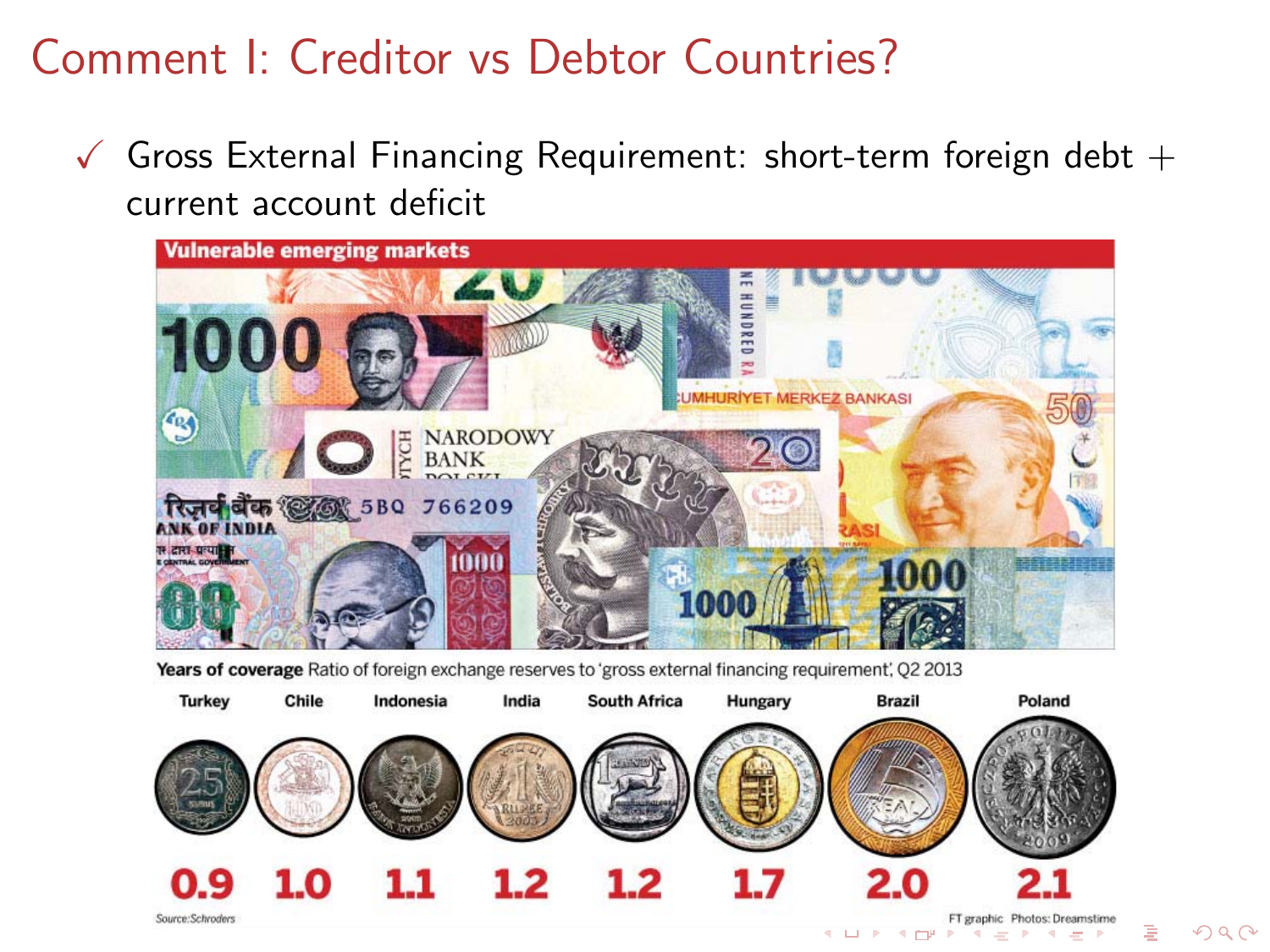## Comment I: Creditor vs Debtor Countries?

 $\checkmark$  Gross External Financing Requirement: short-term foreign debt  $+$ current account deficit



Years of coverage Ratio of foreign exchange reserves to 'gross external financing requirement', O2 2013



 $\Omega$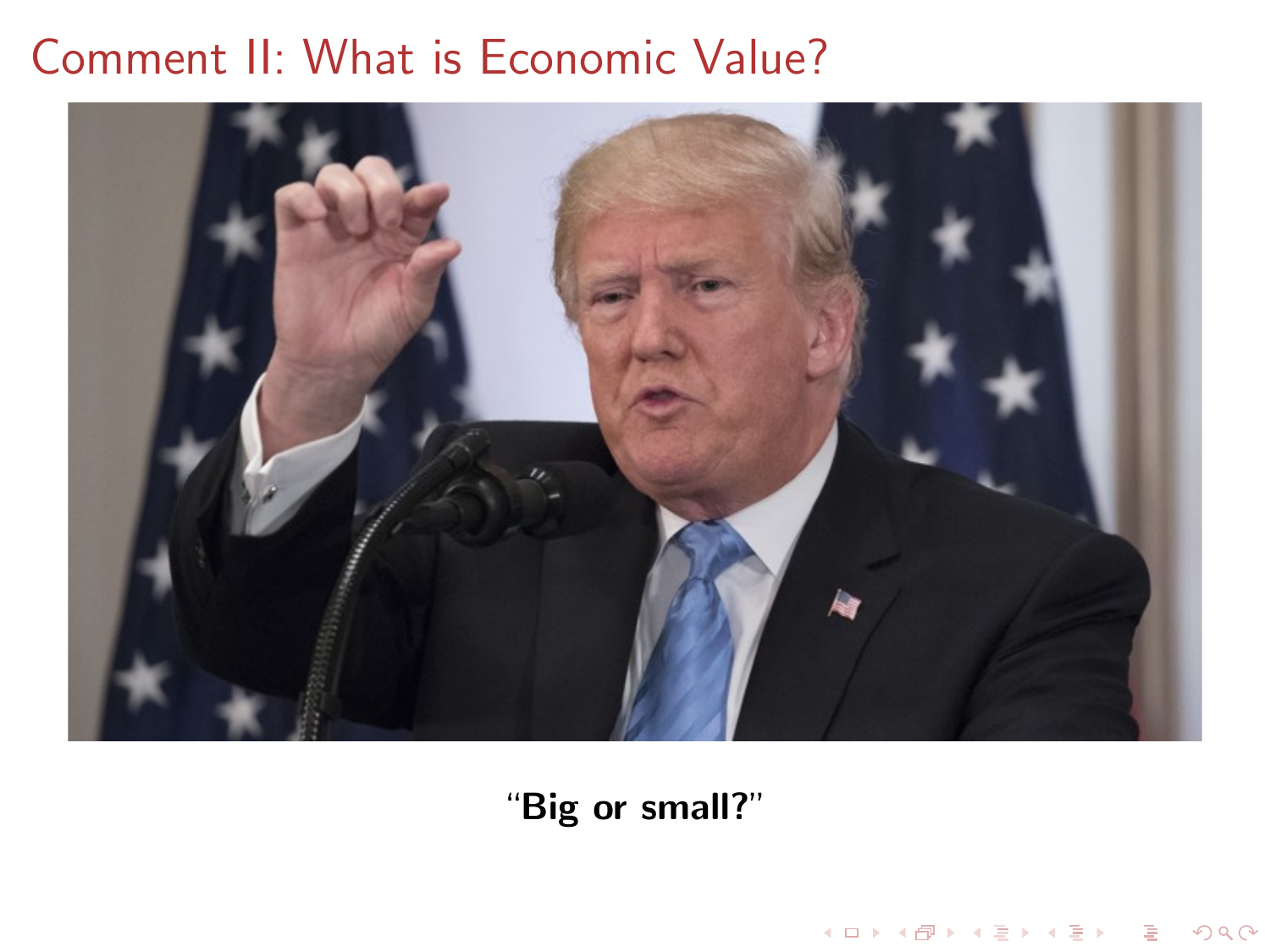# Comment II: What is Economic Value?



"Big or small?"

K ロ X x 4D X X B X X B X X D X O Q O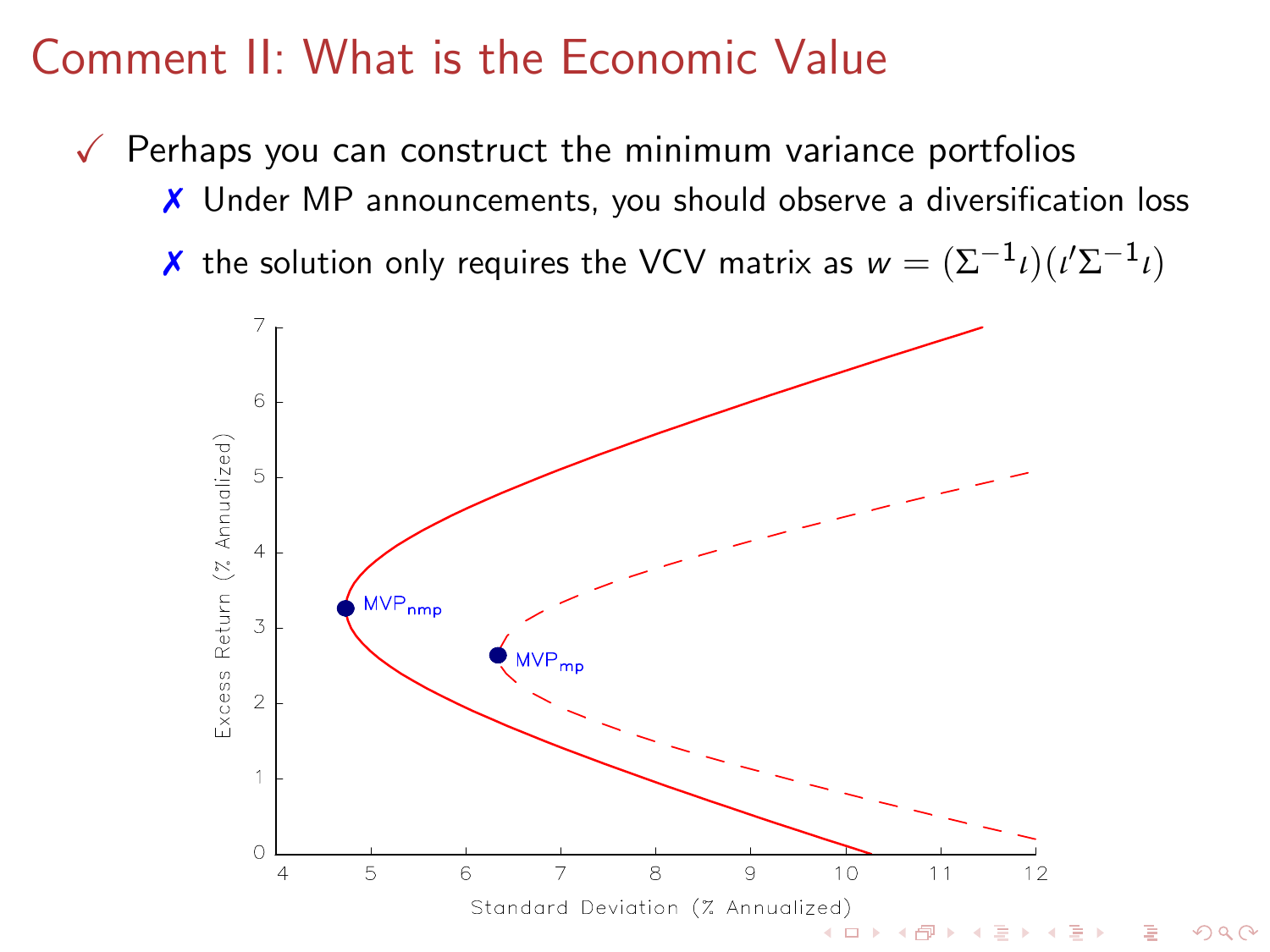### Comment II: What is the Economic Value

 $\sqrt{\ }$  Perhaps you can construct the minimum variance portfolios

- ✗ Under MP announcements, you should observe a diversification loss
- $\boldsymbol{\chi}$  the solution only requires the VCV matrix as  $w = (\Sigma^{-1} \iota) (\iota' \Sigma^{-1} \iota)$

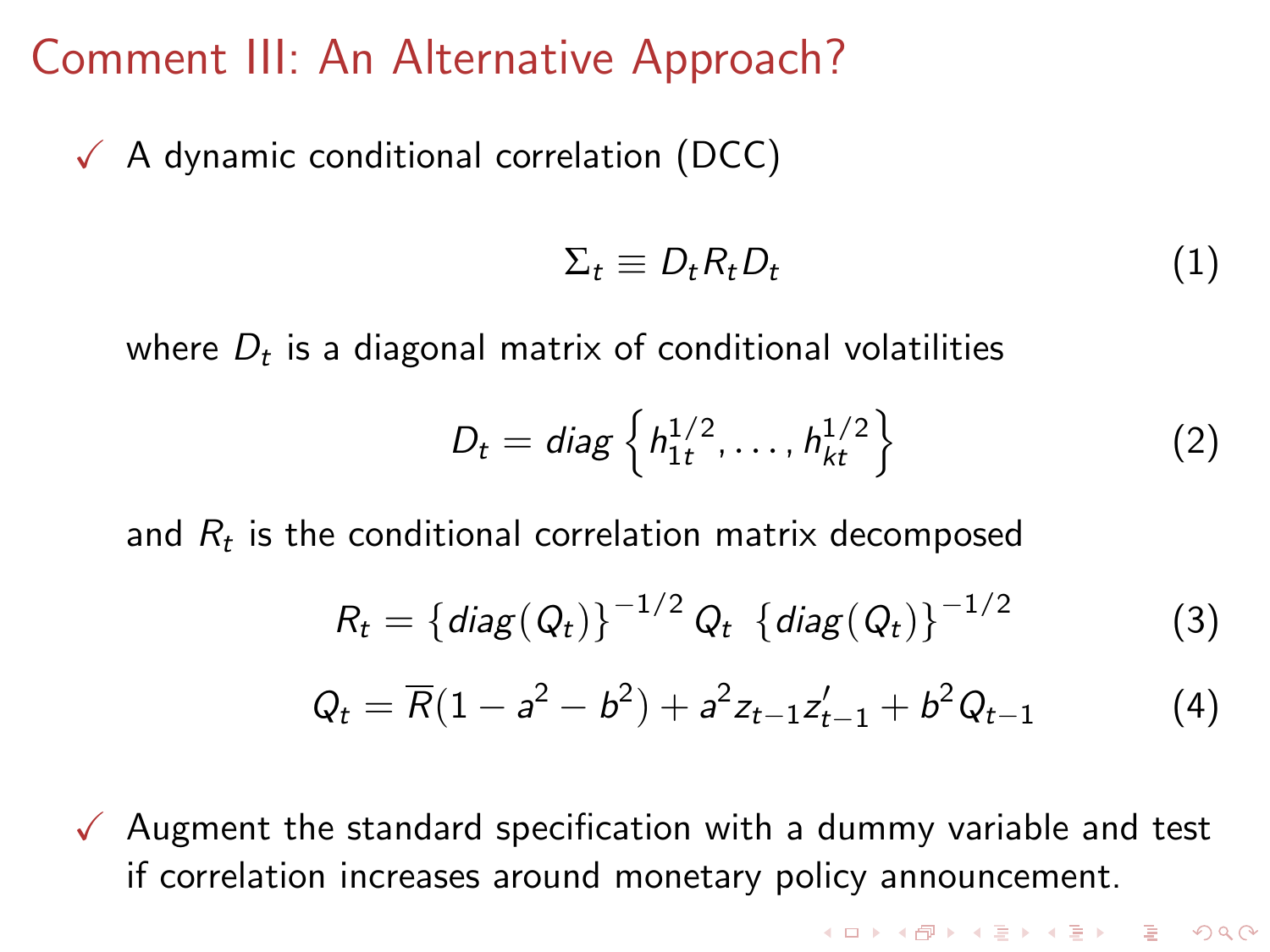### Comment III: An Alternative Approach?

 $\sqrt{ }$  A dynamic conditional correlation (DCC)

$$
\Sigma_t \equiv D_t R_t D_t \tag{1}
$$

**KORKA SERVER ORA** 

where  $D_t$  is a diagonal matrix of conditional volatilities

$$
D_t = diag\left\{h_{1t}^{1/2}, \dots, h_{kt}^{1/2}\right\}
$$
 (2)

and  $R_t$  is the conditional correlation matrix decomposed

$$
R_t = \{ diag(Q_t) \}^{-1/2} Q_t \{ diag(Q_t) \}^{-1/2}
$$
 (3)

$$
Q_t = \overline{R}(1 - a^2 - b^2) + a^2 z_{t-1} z'_{t-1} + b^2 Q_{t-1}
$$
 (4)

 $\sqrt{\phantom{a}}$  Augment the standard specification with a dummy variable and test if correlation increases around monetary policy announcement.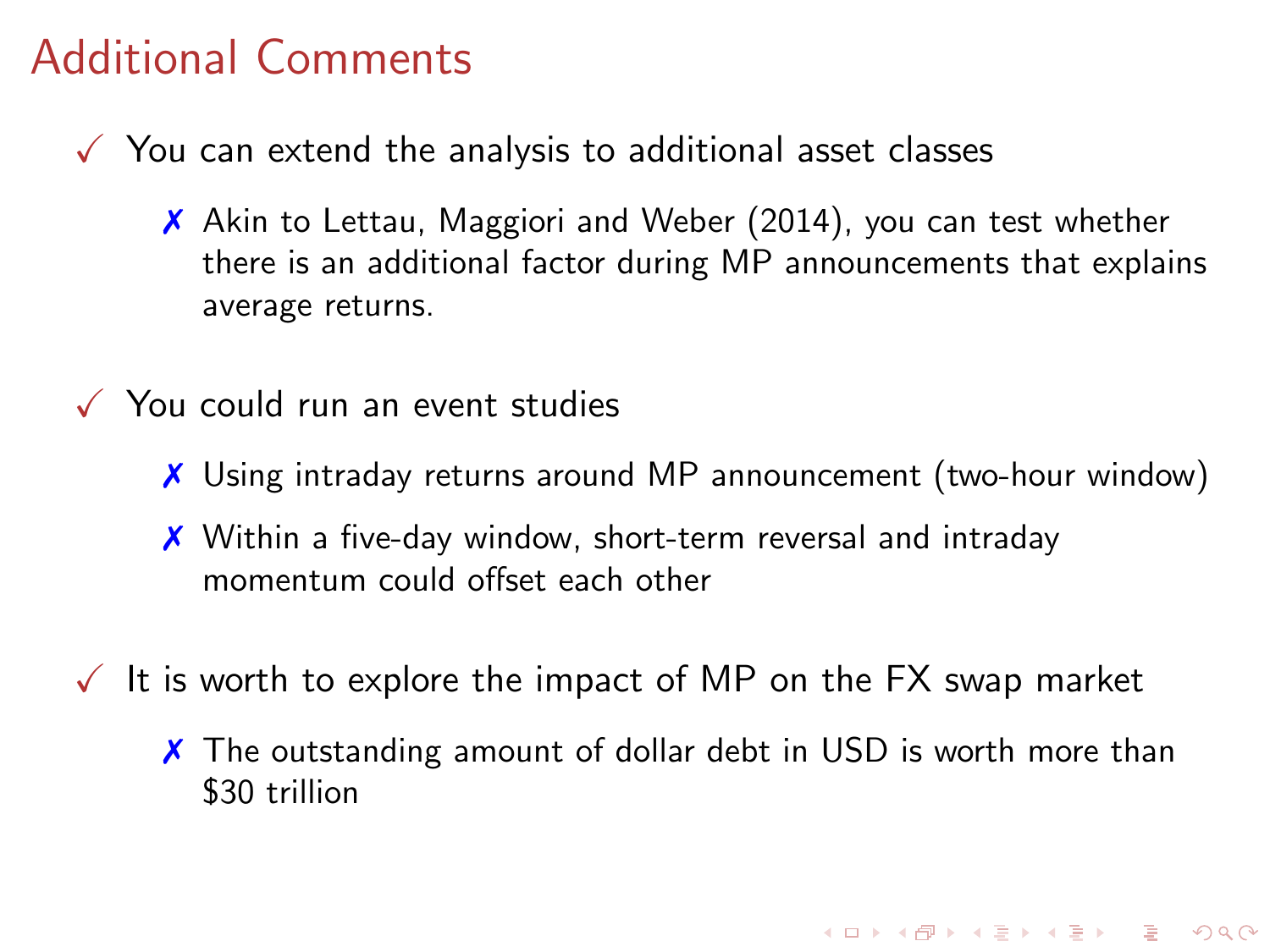## Additional Comments

- $\sqrt{\ }$  You can extend the analysis to additional asset classes
	- ✗ Akin to Lettau, Maggiori and Weber (2014), you can test whether there is an additional factor during MP announcements that explains average returns.
- $\checkmark$  You could run an event studies
	- ✗ Using intraday returns around MP announcement (two-hour window)
	- ✗ Within a five-day window, short-term reversal and intraday momentum could offset each other
- $\sqrt{\ }$  It is worth to explore the impact of MP on the FX swap market
	- X The outstanding amount of dollar debt in USD is worth more than \$30 trillion

KO KA KO KE KA E KA SA KA KA KA KA KA A